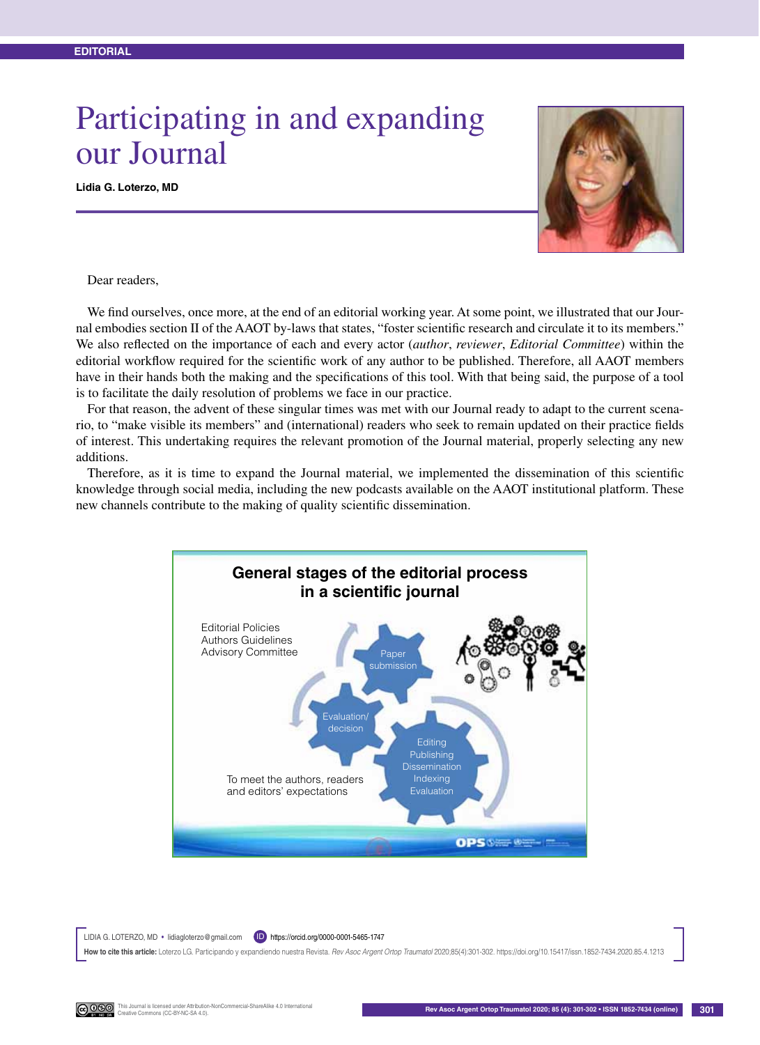## Participating in and expanding our Journal

**Lidia G. Loterzo, MD**



Dear readers,

We find ourselves, once more, at the end of an editorial working year. At some point, we illustrated that our Journal embodies section II of the AAOT by-laws that states, "foster scientific research and circulate it to its members." We also reflected on the importance of each and every actor (*author*, *reviewer*, *Editorial Committee*) within the editorial workflow required for the scientific work of any author to be published. Therefore, all AAOT members have in their hands both the making and the specifications of this tool. With that being said, the purpose of a tool is to facilitate the daily resolution of problems we face in our practice.

For that reason, the advent of these singular times was met with our Journal ready to adapt to the current scenario, to "make visible its members" and (international) readers who seek to remain updated on their practice fields of interest. This undertaking requires the relevant promotion of the Journal material, properly selecting any new additions.

Therefore, as it is time to expand the Journal material, we implemented the dissemination of this scientific knowledge through social media, including the new podcasts available on the AAOT institutional platform. These new channels contribute to the making of quality scientific dissemination.



LIDIA G. LOTERZO, MD • lidiagloterzo@gmail.com (D) https://orcid.org/0000-0001-5465-1747 **How to cite this article:** Loterzo LG. Participando y expandiendo nuestra Revista. *Rev Asoc Argent Ortop Traumatol* 2020;85(4):301-302. https://doi.org/10.15417/issn.1852-7434.2020.85.4.1213